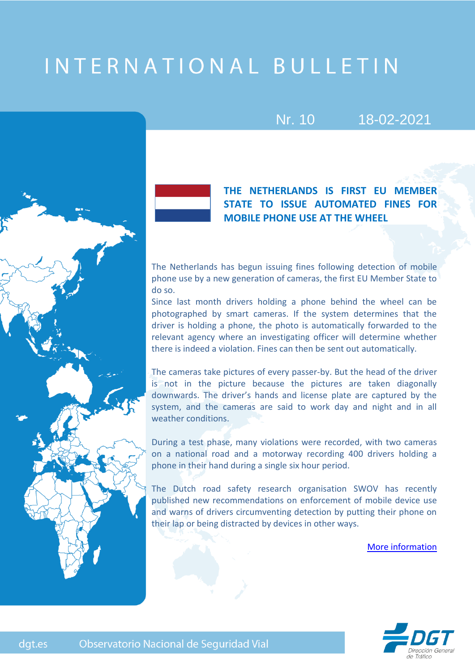# INTERNATIONAL BULLETIN

## Nr. 10 18-02-2021



dgt.es

**THE NETHERLANDS IS FIRST EU MEMBER STATE TO ISSUE AUTOMATED FINES FOR MOBILE PHONE USE AT THE WHEEL**

The Netherlands has begun issuing fines following detection of mobile phone use by a new generation of cameras, the first EU Member State to do so.

Since last month drivers holding a phone behind the wheel can be photographed by smart cameras. If the system determines that the driver is holding a phone, the photo is automatically forwarded to the relevant agency where an investigating officer will determine whether there is indeed a violation. Fines can then be sent out automatically.

The cameras take pictures of every passer-by. But the head of the driver is not in the picture because the pictures are taken diagonally downwards. The driver's hands and license plate are captured by the system, and the cameras are said to work day and night and in all weather conditions.

During a test phase, many violations were recorded, with two cameras on a national road and a motorway recording 400 drivers holding a phone in their hand during a single six hour period.

The Dutch road safety research organisation SWOV has recently published new recommendations on enforcement of mobile device use and warns of drivers circumventing detection by putting their phone on their lap or being distracted by devices in other ways.

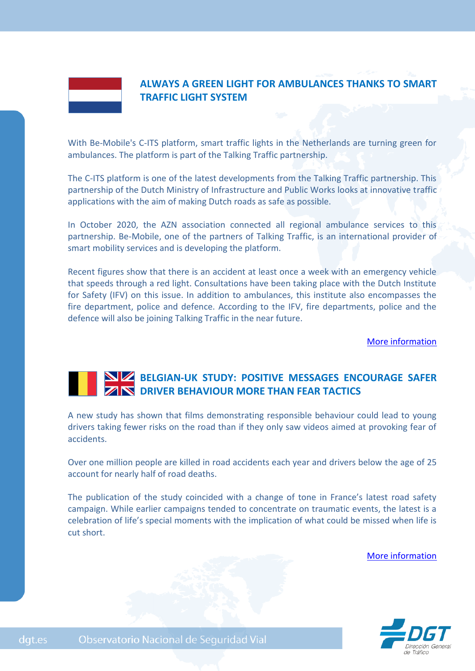

### **ALWAYS A GREEN LIGHT FOR AMBULANCES THANKS TO SMART TRAFFIC LIGHT SYSTEM**

With Be-Mobile's C-ITS platform, smart traffic lights in the Netherlands are turning green for ambulances. The platform is part of the Talking Traffic partnership.

The C-ITS platform is one of the latest developments from the Talking Traffic partnership. This partnership of the Dutch Ministry of Infrastructure and Public Works looks at innovative traffic applications with the aim of making Dutch roads as safe as possible.

In October 2020, the AZN association connected all regional ambulance services to this partnership. Be-Mobile, one of the partners of Talking Traffic, is an international provider of smart mobility services and is developing the platform.

Recent figures show that there is an accident at least once a week with an emergency vehicle that speeds through a red light. Consultations have been taking place with the Dutch Institute for Safety (IFV) on this issue. In addition to ambulances, this institute also encompasses the fire department, police and defence. According to the IFV, fire departments, police and the defence will also be joining Talking Traffic in the near future.

[More information](https://innovationorigins.com/always-a-green-light-for-ambulances-thanks-to-smart-traffic-light-system/)

### **BELGIAN-UK STUDY: POSITIVE MESSAGES ENCOURAGE SAFER DRIVER BEHAVIOUR MORE THAN FEAR TACTICS**

A new study has shown that films demonstrating responsible behaviour could lead to young drivers taking fewer risks on the road than if they only saw videos aimed at provoking fear of accidents.

Over one million people are killed in road accidents each year and drivers below the age of 25 account for nearly half of road deaths.

The publication of the study coincided with a change of tone in France's latest road safety campaign. While earlier campaigns tended to concentrate on traumatic events, the latest is a celebration of life's special moments with the implication of what could be missed when life is cut short.

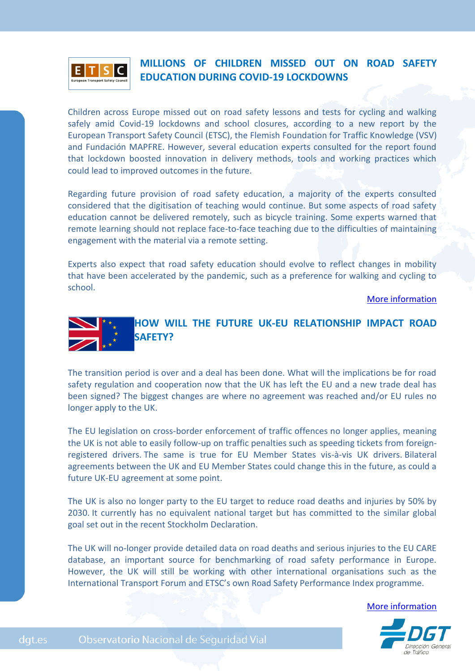

### **MILLIONS OF CHILDREN MISSED OUT ON ROAD SAFETY EDUCATION DURING COVID-19 LOCKDOWNS**

Children across Europe missed out on road safety lessons and tests for cycling and walking safely amid Covid-19 lockdowns and school closures, according to a new report by the European Transport Safety Council (ETSC), the Flemish Foundation for Traffic Knowledge (VSV) and Fundación MAPFRE. However, several education experts consulted for the report found that lockdown boosted innovation in delivery methods, tools and working practices which could lead to improved outcomes in the future.

Regarding future provision of road safety education, a majority of the experts consulted considered that the digitisation of teaching would continue. But some aspects of road safety education cannot be delivered remotely, such as bicycle training. Some experts warned that remote learning should not replace face-to-face teaching due to the difficulties of maintaining engagement with the material via a remote setting.

Experts also expect that road safety education should evolve to reflect changes in mobility that have been accelerated by the pandemic, such as a preference for walking and cycling to school.

[More information](https://etsc.eu/millions-of-children-missed-out-on-road-safety-education-during-covid-19-lockdowns/)



The transition period is over and a deal has been done. What will the implications be for road safety regulation and cooperation now that the UK has left the EU and a new trade deal has been signed? The biggest changes are where no agreement was reached and/or EU rules no longer apply to the UK.

The EU legislation on cross-border enforcement of traffic offences no longer applies, meaning the UK is not able to easily follow-up on traffic penalties such as speeding tickets from foreignregistered drivers. The same is true for EU Member States vis-à-vis UK drivers. Bilateral agreements between the UK and EU Member States could change this in the future, as could a future UK-EU agreement at some point.

The UK is also no longer party to the EU target to reduce road deaths and injuries by 50% by 2030. It currently has no equivalent national target but has committed to the similar global goal set out in the recent Stockholm Declaration.

The UK will no-longer provide detailed data on road deaths and serious injuries to the EU CARE database, an important source for benchmarking of road safety performance in Europe. However, the UK will still be working with other international organisations such as the International Transport Forum and ETSC's own Road Safety Performance Index programme.

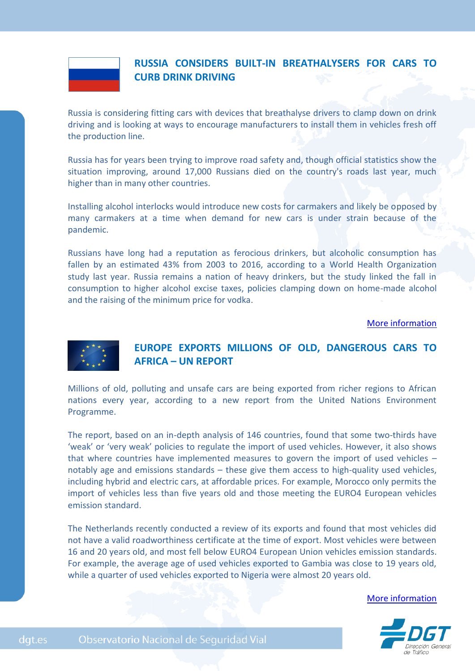

### **RUSSIA CONSIDERS BUILT-IN BREATHALYSERS FOR CARS TO CURB DRINK DRIVING**

Russia is considering fitting cars with devices that breathalyse drivers to clamp down on drink driving and is looking at ways to encourage manufacturers to install them in vehicles fresh off the production line.

Russia has for years been trying to improve road safety and, though official statistics show the situation improving, around 17,000 Russians died on the country's roads last year, much higher than in many other countries.

Installing alcohol interlocks would introduce new costs for carmakers and likely be opposed by many carmakers at a time when demand for new cars is under strain because of the pandemic.

Russians have long had a reputation as ferocious drinkers, but alcoholic consumption has fallen by an estimated 43% from 2003 to 2016, according to a World Health Organization study last year. Russia remains a nation of heavy drinkers, but the study linked the fall in consumption to higher alcohol excise taxes, policies clamping down on home-made alcohol and the raising of the minimum price for vodka.

#### [More information](https://auto.economictimes.indiatimes.com/news/passenger-vehicle/cars/russia-considers-built-in-breathalysers-for-cars-to-curb-drink-driving/77247427)



dgt.es

### **EUROPE EXPORTS MILLIONS OF OLD, DANGEROUS CARS TO AFRICA – UN REPORT**

Millions of old, polluting and unsafe cars are being exported from richer regions to African nations every year, according to a new report from the United Nations Environment Programme.

The report, based on an in-depth analysis of 146 countries, found that some two-thirds have 'weak' or 'very weak' policies to regulate the import of used vehicles. However, it also shows that where countries have implemented measures to govern the import of used vehicles – notably age and emissions standards – these give them access to high-quality used vehicles, including hybrid and electric cars, at affordable prices. For example, Morocco only permits the import of vehicles less than five years old and those meeting the EURO4 European vehicles emission standard.

The Netherlands recently conducted a review of its exports and found that most vehicles did not have a valid roadworthiness certificate at the time of export. Most vehicles were between 16 and 20 years old, and most fell below EURO4 European Union vehicles emission standards. For example, the average age of used vehicles exported to Gambia was close to 19 years old, while a quarter of used vehicles exported to Nigeria were almost 20 years old.

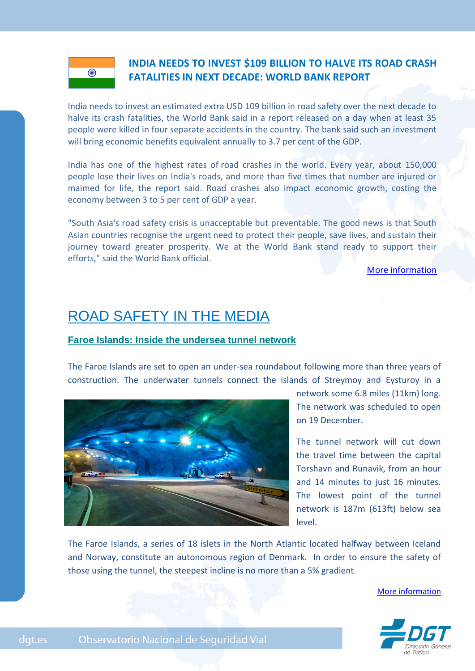### **INDIA NEEDS TO INVEST \$109 BILLION TO HALVE ITS ROAD CRASH FATALITIES IN NEXT DECADE: WORLD BANK REPORT**

India needs to invest an estimated extra USD 109 billion in road safety over the next decade to halve its crash fatalities, the World Bank said in a report released on a day when at least 35 people were killed in four separate accidents in the country. The bank said such an investment will bring economic benefits equivalent annually to 3.7 per cent of the GDP.

India has one of the highest rates of road crashes in the world. Every year, about 150,000 people lose their lives on India's roads, and more than five times that number are injured or maimed for life, the report said. Road crashes also impact economic growth, costing the economy between 3 to 5 per cent of GDP a year.

"South Asia's road safety crisis is unacceptable but preventable. The good news is that South Asian countries recognise the urgent need to protect their people, save lives, and sustain their journey toward greater prosperity. We at the World Bank stand ready to support their efforts," said the World Bank official.

[More information](https://auto.economictimes.indiatimes.com/news/industry/india-needs-to-invest-109-billion-to-halve-its-road-crash-fatalities-in-next-decade-world-bank-report/74230899)

## ROAD SAFETY IN THE MEDIA

### **Faroe Islands: Inside the undersea tunnel network**

The Faroe Islands are set to open an under-sea roundabout following more than three years of construction. The underwater tunnels connect the islands of Streymoy and Eysturoy in a



network some 6.8 miles (11km) long. The network was scheduled to open on 19 December.

The tunnel network will cut down the travel time between the capital Torshavn and Runavik, from an hour and 14 minutes to just 16 minutes. The lowest point of the tunnel network is 187m (613ft) below sea level.

The Faroe Islands, a series of 18 islets in the North Atlantic located halfway between Iceland and Norway, constitute an autonomous region of Denmark. In order to ensure the safety of those using the tunnel, the steepest incline is no more than a 5% gradient.

[More information](https://www.bbc.com/news/world-europe-55195390)



dgt.es